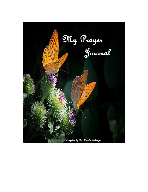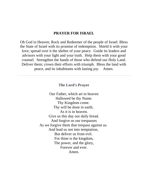### **PRAYER FOR ISRAEL**

Oh God in Heaven, Rock and Redeemer of the people of Israel: Bless the State of Israel with its promise of redemption. Shield it with your love; spread over it the shelter of your peace. Guide its leaders and advisors with your light and your truth. Help them with your good counsel. Strengthen the hands of those who defend our Holy Land. Deliver them; crown their efforts with triumph. Bless the land with peace, and its inhabitants with lasting joy. Amen.

#### **The Lord's Prayer**

Our Father, which art in heaven Hallowed be thy Name. Thy Kingdom come. Thy will be done in earth, As it is in heaven. Give us this day our daily bread. And forgive us our trespasses As we forgive them that trespass against us. And lead us not into temptation, But deliver us from evil. For thine is the kingdom, The power, and the glory, Forever and ever. Amen.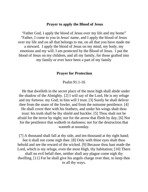#### **Prayer to apply the Blood of Jesus**

"Father God, I apply the blood of Jesus over my life and my home" "Father, I come to you in Jesus' name, and I apply the blood of Jesus over my life and on all that belongs to me, on all that you have made me a steward. I apply the blood of Jesus on my mind, my body, my emotions and my will. I am protected by the Blood of Jesus. I put the blood of Jesus on my children, and all my family, for those grafted into my family or ever have been a part of my family

### **Prayer for Protection**

#### Psalm 91:1-16

 He that dwelleth in the secret place of the most high shall abide under the shadow of the Almighty. [2] I will say of the Lord, He is my refuge and my fortress: my God; in him will I trust. [3] Surely he shall deliver thee from the snare of the fowler, and from the noisome pestilence. [4] He shall cover thee with his feathers, and under his wings shalt thou trust: his truth shall be thy shield and buckler. [5] Thou shalt not be afraid for the terror by night; nor for the arrow that flieth by day; [6] Nor for the pestilence that walketh in darkness; nor for the destruction that wasteth at noonday.

[7] A thousand shall fall at thy side, and ten thousand at thy right hand; but it shall not come nigh thee. [8] Only with thine eyes shalt thou behold and see the reward of the wicked. [9] Because thou hast made the Lord, which is my refuge, even the most High, thy habitation; [10] There shall no evil befall thee, neither shall any plague come nigh thy dwelling. [11] For he shall give his angels charge over thee, to keep thee in all thy ways.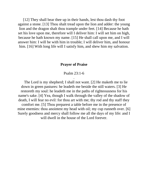[12] They shall bear thee up in their hands, lest thou dash thy foot against a stone. [13] Thou shalt tread upon the lion and adder: the young lion and the dragon shalt thou trample under feet. [14] Because he hath set his love upon me, therefore will I deliver him: I will set him on high, because he hath known my name. [15] He shall call upon me, and I will answer him: I will be with him in trouble; I will deliver him, and honour him. [16] With long life will I satisfy him, and shew him my salvation.

#### **Prayer of Praise**

Psalm 23:1-6 .

 The Lord is my shepherd; I shall not want. [2] He maketh me to lie down in green pastures: he leadeth me beside the still waters. [3] He restoreth my soul: he leadeth me in the paths of righteousness for his name's sake. [4] Yea, though I walk through the valley of the shadow of death, I will fear no evil: for thou art with me; thy rod and thy staff they comfort me. [5] Thou preparest a table before me in the presence of mine enemies: thou anointest my head with oil; my cup runneth over. [6] Surely goodness and mercy shall follow me all the days of my life: and I will dwell in the house of the Lord forever.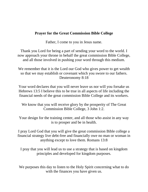## **Prayer for the Great Commission Bible College**

Father, I come to you in Jesus name.

Thank you Lord for being a part of sending your word to the world. I now approach your throne in behalf the great commission Bible College, and all those involved in pushing your word through this medium.

We remember that it is the Lord our God who gives power to get wealth so that we may establish or covenant which you swore to our fathers. Deuteronomy 8:18

Your word declares that you will never leave us nor will you forsake us Hebrews 13:5 I believe this to be true in all aspects of life including the financial needs of the great commission Bible College and its workers.

We know that you will receive glory by the prosperity of The Great Commission Bible College, 3 John 1:2.

Your design for the training center, and all those who assist in any way is to prosper and be in health.

I pray Lord God that you will give the great commission Bible college a financial strategy live debt-free and financially owe no man or woman in anything except to love them. Romans 13:8

I pray that you will lead us to use a strategy that is based on kingdom principles and developed for kingdom purposes.

We purposes this day to listen to the Holy Spirit concerning what to do with the finances you have given us.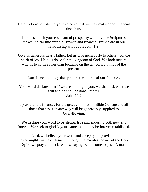Help us Lord to listen to your voice so that we may make good financial decisions.

Lord, establish your covenant of prosperity with us. The Scriptures makes it clear that spiritual growth and financial growth are in our relationship with you.3 John 1:2.

Give us generous hearts father. Let us give generously to others with the spirit of joy. Help us do so for the kingdom of God. We look toward what is to come rather than focusing on the temporary things of the present.

Lord I declare today that you are the source of our finances.

Your word declares that if we are abiding in you, we shall ask what we will and he shall be done unto us. John 15:7

I pray that the finances for the great commission Bible College and all those that assist in any way will be generously supplied to Over-flowing.

We declare your word to be strong, true and enduring both now and forever. We seek to glorify your name that it may be forever established.

Lord, we believe your word and accept your provision. In the mighty name of Jesus in through the manifest power of the Holy Spirit we pray and declare these sayings shall come to pass. A man